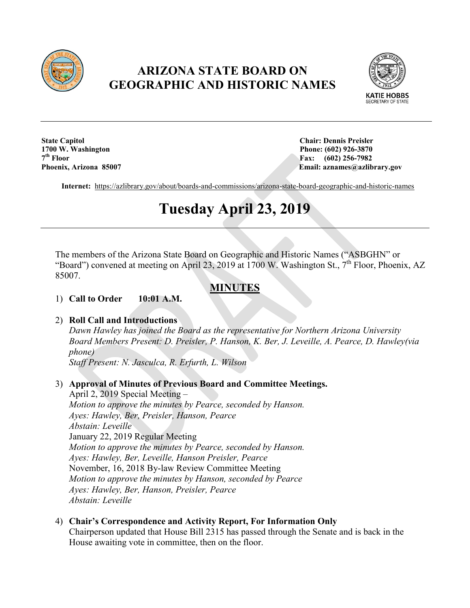

# **ARIZONA STATE BOARD ON GEOGRAPHIC AND HISTORIC NAMES**



**State Capitol Chair: Dennis Preisler 1700 W. Washington Phone: (602) 926-3870**<br> **1700 W. Washington Phone: (602) 926-3870**<br> **1700 W. Washington 7th Floor Fax: (602) 256-7982**

**Email: aznames@azlibrary.gov** 

**Internet:** <https://azlibrary.gov/about/boards-and-commissions/arizona-state-board-geographic-and-historic-names>

# **Tuesday April 23, 2019**

The members of the Arizona State Board on Geographic and Historic Names ("ASBGHN" or "Board") convened at meeting on April 23, 2019 at 1700 W. Washington St., 7<sup>th</sup> Floor, Phoenix, AZ 85007.

# **MINUTES**

#### 1) **Call to Order 10:01 A.M.**

### 2) **Roll Call and Introductions**

*Dawn Hawley has joined the Board as the representative for Northern Arizona University Board Members Present: D. Preisler, P. Hanson, K. Ber, J. Leveille, A. Pearce, D. Hawley(via phone)*

*Staff Present: N. Jasculca, R. Erfurth, L. Wilson*

### 3) **Approval of Minutes of Previous Board and Committee Meetings.**

April 2, 2019 Special Meeting – *Motion to approve the minutes by Pearce, seconded by Hanson. Ayes: Hawley, Ber, Preisler, Hanson, Pearce Abstain: Leveille* January 22, 2019 Regular Meeting *Motion to approve the minutes by Pearce, seconded by Hanson. Ayes: Hawley, Ber, Leveille, Hanson Preisler, Pearce* November, 16, 2018 By-law Review Committee Meeting *Motion to approve the minutes by Hanson, seconded by Pearce Ayes: Hawley, Ber, Hanson, Preisler, Pearce Abstain: Leveille*

# 4) **Chair's Correspondence and Activity Report, For Information Only**

Chairperson updated that House Bill 2315 has passed through the Senate and is back in the House awaiting vote in committee, then on the floor.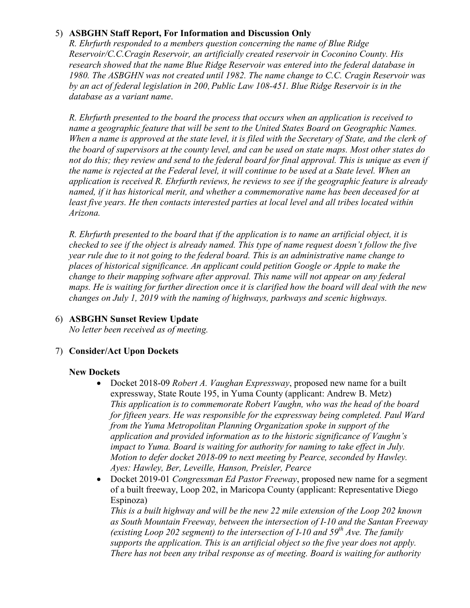## 5) **ASBGHN Staff Report, For Information and Discussion Only**

*R. Ehrfurth responded to a members question concerning the name of Blue Ridge Reservoir/C.C.Cragin Reservoir, an artificially created reservoir in Coconino County. His research showed that the name Blue Ridge Reservoir was entered into the federal database in 1980. The ASBGHN was not created until 1982. The name change to C.C. Cragin Reservoir was by an act of federal legislation in 200*, *Public Law 108-451. Blue Ridge Reservoir is in the database as a variant name*.

*R. Ehrfurth presented to the board the process that occurs when an application is received to name a geographic feature that will be sent to the United States Board on Geographic Names. When a name is approved at the state level, it is filed with the Secretary of State, and the clerk of the board of supervisors at the county level, and can be used on state maps. Most other states do not do this; they review and send to the federal board for final approval. This is unique as even if the name is rejected at the Federal level, it will continue to be used at a State level. When an application is received R. Ehrfurth reviews, he reviews to see if the geographic feature is already named, if it has historical merit, and whether a commemorative name has been deceased for at least five years. He then contacts interested parties at local level and all tribes located within Arizona.* 

*R. Ehrfurth presented to the board that if the application is to name an artificial object, it is checked to see if the object is already named. This type of name request doesn't follow the five year rule due to it not going to the federal board. This is an administrative name change to places of historical significance. An applicant could petition Google or Apple to make the change to their mapping software after approval. This name will not appear on any federal maps. He is waiting for further direction once it is clarified how the board will deal with the new changes on July 1, 2019 with the naming of highways, parkways and scenic highways.*

# 6) **ASBGHN Sunset Review Update**

*No letter been received as of meeting.*

### 7) **Consider/Act Upon Dockets**

#### **New Dockets**

- Docket 2018-09 *Robert A. Vaughan Expressway*, proposed new name for a built expressway, State Route 195, in Yuma County (applicant: Andrew B. Metz) *This application is to commemorate Robert Vaughn, who was the head of the board for fifteen years. He was responsible for the expressway being completed. Paul Ward from the Yuma Metropolitan Planning Organization spoke in support of the application and provided information as to the historic significance of Vaughn's impact to Yuma. Board is waiting for authority for naming to take effect in July. Motion to defer docket 2018-09 to next meeting by Pearce, seconded by Hawley. Ayes: Hawley, Ber, Leveille, Hanson, Preisler, Pearce*
- Docket 2019-01 *Congressman Ed Pastor Freeway*, proposed new name for a segment of a built freeway, Loop 202, in Maricopa County (applicant: Representative Diego Espinoza)

*This is a built highway and will be the new 22 mile extension of the Loop 202 known as South Mountain Freeway, between the intersection of I-10 and the Santan Freeway (existing Loop 202 segment) to the intersection of I-10 and 59th Ave. The family supports the application. This is an artificial object so the five year does not apply. There has not been any tribal response as of meeting. Board is waiting for authority*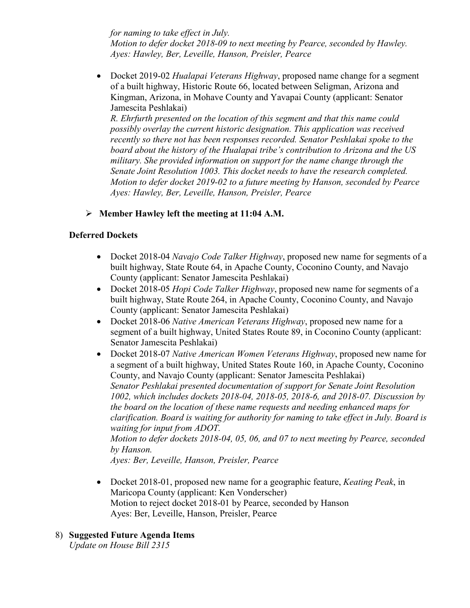*for naming to take effect in July. Motion to defer docket 2018-09 to next meeting by Pearce, seconded by Hawley. Ayes: Hawley, Ber, Leveille, Hanson, Preisler, Pearce*

• Docket 2019-02 *Hualapai Veterans Highway*, proposed name change for a segment of a built highway, Historic Route 66, located between Seligman, Arizona and Kingman, Arizona, in Mohave County and Yavapai County (applicant: Senator Jamescita Peshlakai)

*R. Ehrfurth presented on the location of this segment and that this name could possibly overlay the current historic designation. This application was received recently so there not has been responses recorded. Senator Peshlakai spoke to the board about the history of the Hualapai tribe's contribution to Arizona and the US military. She provided information on support for the name change through the Senate Joint Resolution 1003. This docket needs to have the research completed. Motion to defer docket 2019-02 to a future meeting by Hanson, seconded by Pearce Ayes: Hawley, Ber, Leveille, Hanson, Preisler, Pearce*

**Member Hawley left the meeting at 11:04 A.M.**

# **Deferred Dockets**

- Docket 2018-04 *Navajo Code Talker Highway*, proposed new name for segments of a built highway, State Route 64, in Apache County, Coconino County, and Navajo County (applicant: Senator Jamescita Peshlakai)
- Docket 2018-05 *Hopi Code Talker Highway*, proposed new name for segments of a built highway, State Route 264, in Apache County, Coconino County, and Navajo County (applicant: Senator Jamescita Peshlakai)
- Docket 2018-06 *Native American Veterans Highway*, proposed new name for a segment of a built highway, United States Route 89, in Coconino County (applicant: Senator Jamescita Peshlakai)
- Docket 2018-07 *Native American Women Veterans Highway*, proposed new name for a segment of a built highway, United States Route 160, in Apache County, Coconino County, and Navajo County (applicant: Senator Jamescita Peshlakai) *Senator Peshlakai presented documentation of support for Senate Joint Resolution 1002, which includes dockets 2018-04, 2018-05, 2018-6, and 2018-07. Discussion by the board on the location of these name requests and needing enhanced maps for clarification. Board is waiting for authority for naming to take effect in July. Board is waiting for input from ADOT. Motion to defer dockets 2018-04, 05, 06, and 07 to next meeting by Pearce, seconded by Hanson.*

*Ayes: Ber, Leveille, Hanson, Preisler, Pearce*

- Docket 2018-01, proposed new name for a geographic feature, *Keating Peak*, in Maricopa County (applicant: Ken Vonderscher) Motion to reject docket 2018-01 by Pearce, seconded by Hanson Ayes: Ber, Leveille, Hanson, Preisler, Pearce
- 8) **Suggested Future Agenda Items**

*Update on House Bill 2315*